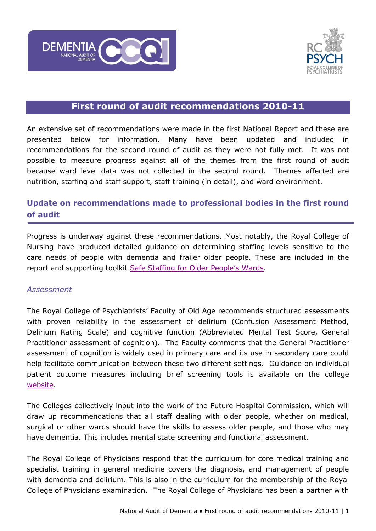



# **First round of audit recommendations 2010-11**

An extensive set of recommendations were made in the first National Report and these are presented below for information. Many have been updated and included in recommendations for the second round of audit as they were not fully met. It was not possible to measure progress against all of the themes from the first round of audit because ward level data was not collected in the second round. Themes affected are nutrition, staffing and staff support, staff training (in detail), and ward environment.

# **Update on recommendations made to professional bodies in the first round of audit**

Progress is underway against these recommendations. Most notably, the Royal College of Nursing have produced detailed guidance on determining staffing levels sensitive to the care needs of people with dementia and frailer older people. These are included in the report and supporting toolkit Saf[e Staffing for Older People's Wards](http://www.rcn.org.uk/__data/assets/pdf_file/0009/479349/004301.pdf).

#### *Assessment*

The Royal College of Psychiatrists' Faculty of Old Age recommends structured assessments with proven reliability in the assessment of delirium (Confusion Assessment Method, Delirium Rating Scale) and cognitive function (Abbreviated Mental Test Score, General Practitioner assessment of cognition). The Faculty comments that the General Practitioner assessment of cognition is widely used in primary care and its use in secondary care could help facilitate communication between these two different settings. Guidance on individual patient outcome measures including brief screening tools is available on the college [website.](http://www.rcpsych.ac.uk/files/pdfversion/OP86.pdf)

The Colleges collectively input into the work of the Future Hospital Commission, which will draw up recommendations that all staff dealing with older people, whether on medical, surgical or other wards should have the skills to assess older people, and those who may have dementia. This includes mental state screening and functional assessment.

The Royal College of Physicians respond that the curriculum for core medical training and specialist training in general medicine covers the diagnosis, and management of people with dementia and delirium. This is also in the curriculum for the membership of the Royal College of Physicians examination. The Royal College of Physicians has been a partner with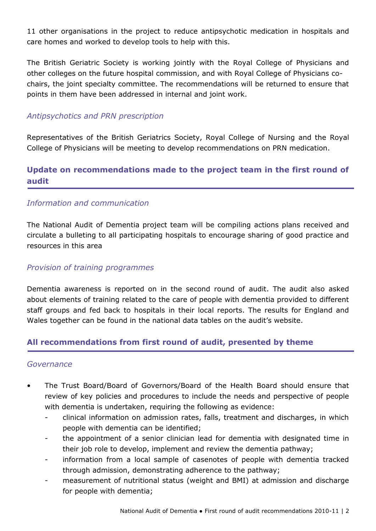11 other organisations in the project to reduce antipsychotic medication in hospitals and care homes and worked to develop tools to help with this.

The British Geriatric Society is working jointly with the Royal College of Physicians and other colleges on the future hospital commission, and with Royal College of Physicians cochairs, the joint specialty committee. The recommendations will be returned to ensure that points in them have been addressed in internal and joint work.

## *Antipsychotics and PRN prescription*

Representatives of the British Geriatrics Society, Royal College of Nursing and the Royal College of Physicians will be meeting to develop recommendations on PRN medication.

# **Update on recommendations made to the project team in the first round of audit**

#### *Information and communication*

The National Audit of Dementia project team will be compiling actions plans received and circulate a bulleting to all participating hospitals to encourage sharing of good practice and resources in this area

#### *Provision of training programmes*

Dementia awareness is reported on in the second round of audit. The audit also asked about elements of training related to the care of people with dementia provided to different staff groups and fed back to hospitals in their local reports. The results for England and Wales together can be found in the national data tables on the audit's website.

#### **All recommendations from first round of audit, presented by theme**

#### *Governance*

- The Trust Board/Board of Governors/Board of the Health Board should ensure that review of key policies and procedures to include the needs and perspective of people with dementia is undertaken, requiring the following as evidence:
	- clinical information on admission rates, falls, treatment and discharges, in which people with dementia can be identified;
	- the appointment of a senior clinician lead for dementia with designated time in their job role to develop, implement and review the dementia pathway;
	- information from a local sample of casenotes of people with dementia tracked through admission, demonstrating adherence to the pathway;
	- measurement of nutritional status (weight and BMI) at admission and discharge for people with dementia;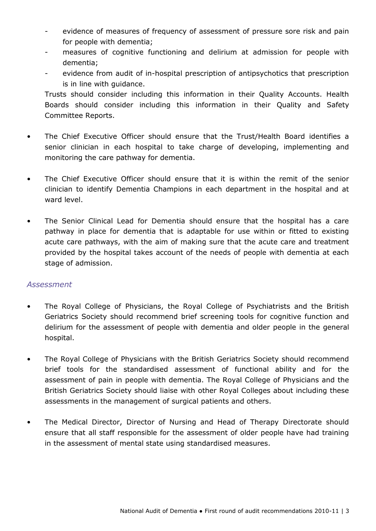- evidence of measures of frequency of assessment of pressure sore risk and pain for people with dementia;
- measures of cognitive functioning and delirium at admission for people with dementia;
- evidence from audit of in-hospital prescription of antipsychotics that prescription is in line with guidance.

Trusts should consider including this information in their Quality Accounts. Health Boards should consider including this information in their Quality and Safety Committee Reports.

- The Chief Executive Officer should ensure that the Trust/Health Board identifies a senior clinician in each hospital to take charge of developing, implementing and monitoring the care pathway for dementia.
- The Chief Executive Officer should ensure that it is within the remit of the senior clinician to identify Dementia Champions in each department in the hospital and at ward level.
- The Senior Clinical Lead for Dementia should ensure that the hospital has a care pathway in place for dementia that is adaptable for use within or fitted to existing acute care pathways, with the aim of making sure that the acute care and treatment provided by the hospital takes account of the needs of people with dementia at each stage of admission.

#### *Assessment*

- The Royal College of Physicians, the Royal College of Psychiatrists and the British Geriatrics Society should recommend brief screening tools for cognitive function and delirium for the assessment of people with dementia and older people in the general hospital.
- The Royal College of Physicians with the British Geriatrics Society should recommend brief tools for the standardised assessment of functional ability and for the assessment of pain in people with dementia. The Royal College of Physicians and the British Geriatrics Society should liaise with other Royal Colleges about including these assessments in the management of surgical patients and others.
- The Medical Director, Director of Nursing and Head of Therapy Directorate should ensure that all staff responsible for the assessment of older people have had training in the assessment of mental state using standardised measures.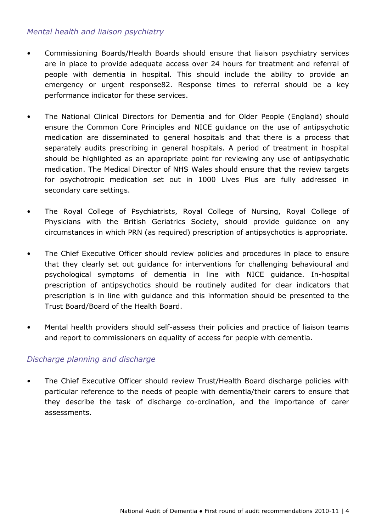## *Mental health and liaison psychiatry*

- Commissioning Boards/Health Boards should ensure that liaison psychiatry services are in place to provide adequate access over 24 hours for treatment and referral of people with dementia in hospital. This should include the ability to provide an emergency or urgent response82. Response times to referral should be a key performance indicator for these services.
- The National Clinical Directors for Dementia and for Older People (England) should ensure the Common Core Principles and NICE guidance on the use of antipsychotic medication are disseminated to general hospitals and that there is a process that separately audits prescribing in general hospitals. A period of treatment in hospital should be highlighted as an appropriate point for reviewing any use of antipsychotic medication. The Medical Director of NHS Wales should ensure that the review targets for psychotropic medication set out in 1000 Lives Plus are fully addressed in secondary care settings.
- The Royal College of Psychiatrists, Royal College of Nursing, Royal College of Physicians with the British Geriatrics Society, should provide guidance on any circumstances in which PRN (as required) prescription of antipsychotics is appropriate.
- The Chief Executive Officer should review policies and procedures in place to ensure that they clearly set out guidance for interventions for challenging behavioural and psychological symptoms of dementia in line with NICE guidance. In-hospital prescription of antipsychotics should be routinely audited for clear indicators that prescription is in line with guidance and this information should be presented to the Trust Board/Board of the Health Board.
- Mental health providers should self-assess their policies and practice of liaison teams and report to commissioners on equality of access for people with dementia.

#### *Discharge planning and discharge*

• The Chief Executive Officer should review Trust/Health Board discharge policies with particular reference to the needs of people with dementia/their carers to ensure that they describe the task of discharge co-ordination, and the importance of carer assessments.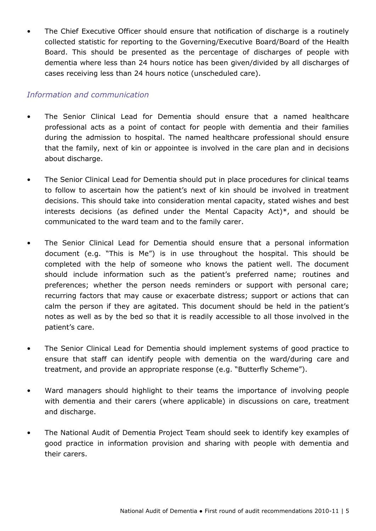The Chief Executive Officer should ensure that notification of discharge is a routinely collected statistic for reporting to the Governing/Executive Board/Board of the Health Board. This should be presented as the percentage of discharges of people with dementia where less than 24 hours notice has been given/divided by all discharges of cases receiving less than 24 hours notice (unscheduled care).

### *Information and communication*

- The Senior Clinical Lead for Dementia should ensure that a named healthcare professional acts as a point of contact for people with dementia and their families during the admission to hospital. The named healthcare professional should ensure that the family, next of kin or appointee is involved in the care plan and in decisions about discharge.
- The Senior Clinical Lead for Dementia should put in place procedures for clinical teams to follow to ascertain how the patient's next of kin should be involved in treatment decisions. This should take into consideration mental capacity, stated wishes and best interests decisions (as defined under the Mental Capacity Act)\*, and should be communicated to the ward team and to the family carer.
- The Senior Clinical Lead for Dementia should ensure that a personal information document (e.g. "This is Me") is in use throughout the hospital. This should be completed with the help of someone who knows the patient well. The document should include information such as the patient's preferred name; routines and preferences; whether the person needs reminders or support with personal care; recurring factors that may cause or exacerbate distress; support or actions that can calm the person if they are agitated. This document should be held in the patient's notes as well as by the bed so that it is readily accessible to all those involved in the patient's care.
- The Senior Clinical Lead for Dementia should implement systems of good practice to ensure that staff can identify people with dementia on the ward/during care and treatment, and provide an appropriate response (e.g. "Butterfly Scheme").
- Ward managers should highlight to their teams the importance of involving people with dementia and their carers (where applicable) in discussions on care, treatment and discharge.
- The National Audit of Dementia Project Team should seek to identify key examples of good practice in information provision and sharing with people with dementia and their carers.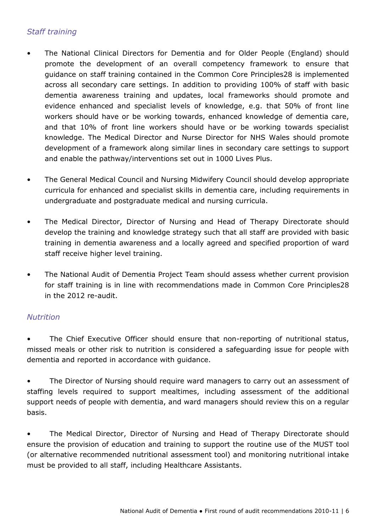# *Staff training*

- The National Clinical Directors for Dementia and for Older People (England) should promote the development of an overall competency framework to ensure that guidance on staff training contained in the Common Core Principles28 is implemented across all secondary care settings. In addition to providing 100% of staff with basic dementia awareness training and updates, local frameworks should promote and evidence enhanced and specialist levels of knowledge, e.g. that 50% of front line workers should have or be working towards, enhanced knowledge of dementia care, and that 10% of front line workers should have or be working towards specialist knowledge. The Medical Director and Nurse Director for NHS Wales should promote development of a framework along similar lines in secondary care settings to support and enable the pathway/interventions set out in 1000 Lives Plus.
- The General Medical Council and Nursing Midwifery Council should develop appropriate curricula for enhanced and specialist skills in dementia care, including requirements in undergraduate and postgraduate medical and nursing curricula.
- The Medical Director, Director of Nursing and Head of Therapy Directorate should develop the training and knowledge strategy such that all staff are provided with basic training in dementia awareness and a locally agreed and specified proportion of ward staff receive higher level training.
- The National Audit of Dementia Project Team should assess whether current provision for staff training is in line with recommendations made in Common Core Principles28 in the 2012 re-audit.

#### *Nutrition*

The Chief Executive Officer should ensure that non-reporting of nutritional status, missed meals or other risk to nutrition is considered a safeguarding issue for people with dementia and reported in accordance with guidance.

The Director of Nursing should require ward managers to carry out an assessment of staffing levels required to support mealtimes, including assessment of the additional support needs of people with dementia, and ward managers should review this on a regular basis.

• The Medical Director, Director of Nursing and Head of Therapy Directorate should ensure the provision of education and training to support the routine use of the MUST tool (or alternative recommended nutritional assessment tool) and monitoring nutritional intake must be provided to all staff, including Healthcare Assistants.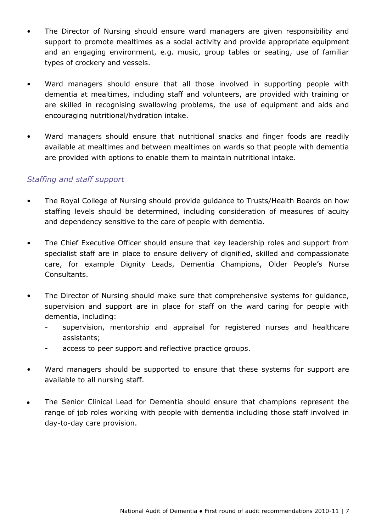- The Director of Nursing should ensure ward managers are given responsibility and support to promote mealtimes as a social activity and provide appropriate equipment and an engaging environment, e.g. music, group tables or seating, use of familiar types of crockery and vessels.
- Ward managers should ensure that all those involved in supporting people with dementia at mealtimes, including staff and volunteers, are provided with training or are skilled in recognising swallowing problems, the use of equipment and aids and encouraging nutritional/hydration intake.
- Ward managers should ensure that nutritional snacks and finger foods are readily available at mealtimes and between mealtimes on wards so that people with dementia are provided with options to enable them to maintain nutritional intake.

## *Staffing and staff support*

- The Royal College of Nursing should provide guidance to Trusts/Health Boards on how staffing levels should be determined, including consideration of measures of acuity and dependency sensitive to the care of people with dementia.
- The Chief Executive Officer should ensure that key leadership roles and support from specialist staff are in place to ensure delivery of dignified, skilled and compassionate care, for example Dignity Leads, Dementia Champions, Older People's Nurse Consultants.
- The Director of Nursing should make sure that comprehensive systems for guidance, supervision and support are in place for staff on the ward caring for people with dementia, including:
	- supervision, mentorship and appraisal for registered nurses and healthcare assistants;
	- access to peer support and reflective practice groups.
- Ward managers should be supported to ensure that these systems for support are available to all nursing staff.
- $\bullet$ The Senior Clinical Lead for Dementia should ensure that champions represent the range of job roles working with people with dementia including those staff involved in day-to-day care provision.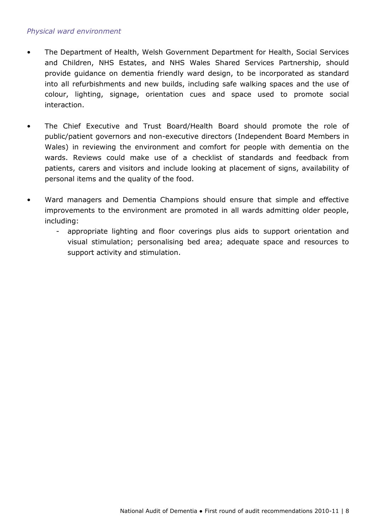#### *Physical ward environment*

- The Department of Health, Welsh Government Department for Health, Social Services and Children, NHS Estates, and NHS Wales Shared Services Partnership, should provide guidance on dementia friendly ward design, to be incorporated as standard into all refurbishments and new builds, including safe walking spaces and the use of colour, lighting, signage, orientation cues and space used to promote social interaction.
- The Chief Executive and Trust Board/Health Board should promote the role of public/patient governors and non-executive directors (Independent Board Members in Wales) in reviewing the environment and comfort for people with dementia on the wards. Reviews could make use of a checklist of standards and feedback from patients, carers and visitors and include looking at placement of signs, availability of personal items and the quality of the food.
- Ward managers and Dementia Champions should ensure that simple and effective improvements to the environment are promoted in all wards admitting older people, including:
	- appropriate lighting and floor coverings plus aids to support orientation and visual stimulation; personalising bed area; adequate space and resources to support activity and stimulation.